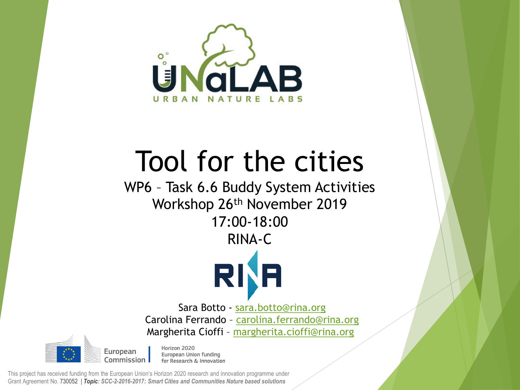

# Tool for the cities

WP6 – Task 6.6 Buddy System Activities Workshop 26th November 2019 17:00-18:00 RINA-C



Sara Botto - [sara.botto@rina.org](mailto:sara.botto@rina.org) Carolina Ferrando - [carolina.ferrando@rina.org](mailto:margherita.cioffi@rina.org) Margherita Cioffi – [margherita.cioffi@rina.org](mailto:margherita.cioffi@rina.org)

European Commission

Horizon 2020 European Union funding for Research & Innovation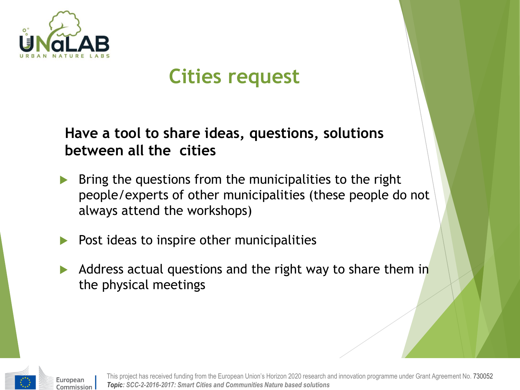

## **Cities request**

**Have a tool to share ideas, questions, solutions between all the cities**

- Bring the questions from the municipalities to the right people/experts of other municipalities (these people do not always attend the workshops)
- Post ideas to inspire other municipalities
- Address actual questions and the right way to share them in the physical meetings



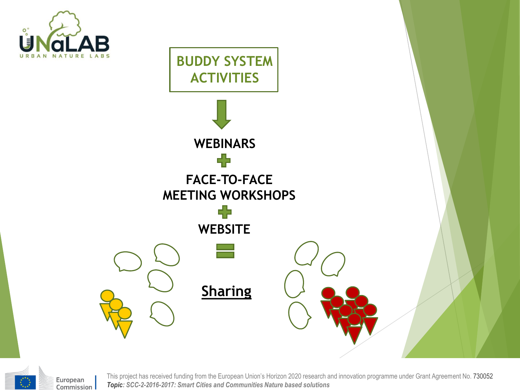





European Commission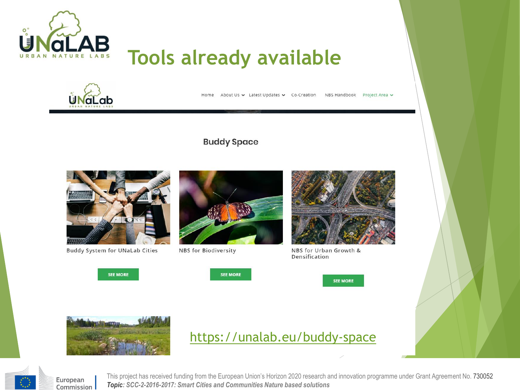

### **Tools already available**



Home About Us v Latest Updates v Co-Creation NBS Handbook Project Area v

#### **Buddy Space**



**Buddy System for UNaLab Cities** 



NBS for Biodiversity



NBS for Urban Growth & Densification



**SEE MORE** 





### <https://unalab.eu/buddy-space>



European Commission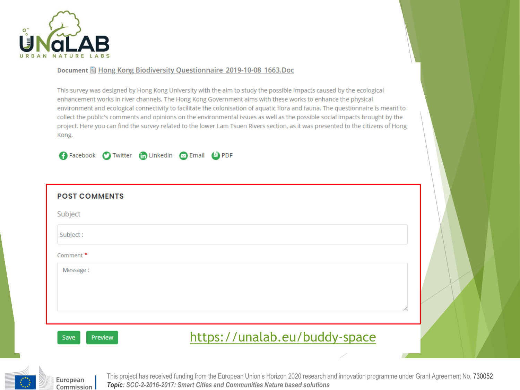

#### Document 图 Hong Kong Biodiversity Questionnaire 2019-10-08 1663.Doc

This survey was designed by Hong Kong University with the aim to study the possible impacts caused by the ecological enhancement works in river channels. The Hong Kong Government aims with these works to enhance the physical environment and ecological connectivity to facilitate the colonisation of aquatic flora and fauna. The questionnaire is meant to collect the public's comments and opinions on the environmental issues as well as the possible social impacts brought by the project. Here you can find the survey related to the lower Lam Tsuen Rivers section, as it was presented to the citizens of Hong Kong.



| <b>POST COMMENTS</b> |                               |   |
|----------------------|-------------------------------|---|
| Subject              |                               |   |
| Subject:             |                               |   |
| Comment <sup>*</sup> |                               |   |
| Message:             |                               |   |
|                      |                               |   |
|                      |                               | 4 |
| Preview<br>Save      | https://unalab.eu/buddy-space |   |
|                      |                               |   |



European Commission |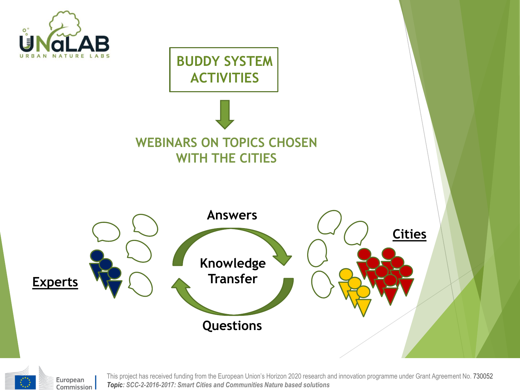



European Commission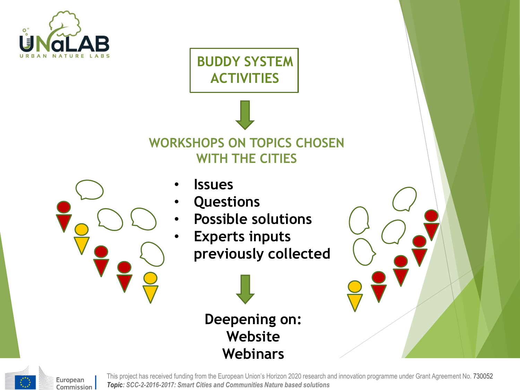

**BUDDY SYSTEM ACTIVITIES**

### **WORKSHOPS ON TOPICS CHOSEN WITH THE CITIES**



- **Issues**
- **Questions**
- **Possible solutions**
- **Experts inputs previously collected**







European Commission |